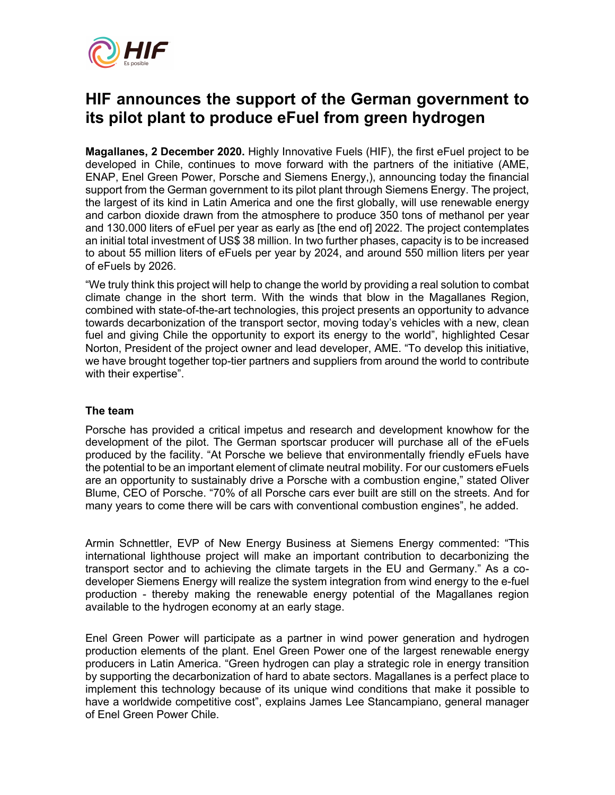

## **HIF announces the support of the German government to its pilot plant to produce eFuel from green hydrogen**

**Magallanes, 2 December 2020.** Highly Innovative Fuels (HIF), the first eFuel project to be developed in Chile, continues to move forward with the partners of the initiative (AME, ENAP, Enel Green Power, Porsche and Siemens Energy,), announcing today the financial support from the German government to its pilot plant through Siemens Energy. The project, the largest of its kind in Latin America and one the first globally, will use renewable energy and carbon dioxide drawn from the atmosphere to produce 350 tons of methanol per year and 130.000 liters of eFuel per year as early as [the end of] 2022. The project contemplates an initial total investment of US\$ 38 million. In two further phases, capacity is to be increased to about 55 million liters of eFuels per year by 2024, and around 550 million liters per year of eFuels by 2026.

"We truly think this project will help to change the world by providing a real solution to combat climate change in the short term. With the winds that blow in the Magallanes Region, combined with state-of-the-art technologies, this project presents an opportunity to advance towards decarbonization of the transport sector, moving today's vehicles with a new, clean fuel and giving Chile the opportunity to export its energy to the world", highlighted Cesar Norton, President of the project owner and lead developer, AME. "To develop this initiative, we have brought together top-tier partners and suppliers from around the world to contribute with their expertise".

## **The team**

Porsche has provided a critical impetus and research and development knowhow for the development of the pilot. The German sportscar producer will purchase all of the eFuels produced by the facility. "At Porsche we believe that environmentally friendly eFuels have the potential to be an important element of climate neutral mobility. For our customers eFuels are an opportunity to sustainably drive a Porsche with a combustion engine," stated Oliver Blume, CEO of Porsche. "70% of all Porsche cars ever built are still on the streets. And for many years to come there will be cars with conventional combustion engines", he added.

Armin Schnettler, EVP of New Energy Business at Siemens Energy commented: "This international lighthouse project will make an important contribution to decarbonizing the transport sector and to achieving the climate targets in the EU and Germany." As a codeveloper Siemens Energy will realize the system integration from wind energy to the e-fuel production - thereby making the renewable energy potential of the Magallanes region available to the hydrogen economy at an early stage.

Enel Green Power will participate as a partner in wind power generation and hydrogen production elements of the plant. Enel Green Power one of the largest renewable energy producers in Latin America. "Green hydrogen can play a strategic role in energy transition by supporting the decarbonization of hard to abate sectors. Magallanes is a perfect place to implement this technology because of its unique wind conditions that make it possible to have a worldwide competitive cost", explains James Lee Stancampiano, general manager of Enel Green Power Chile.